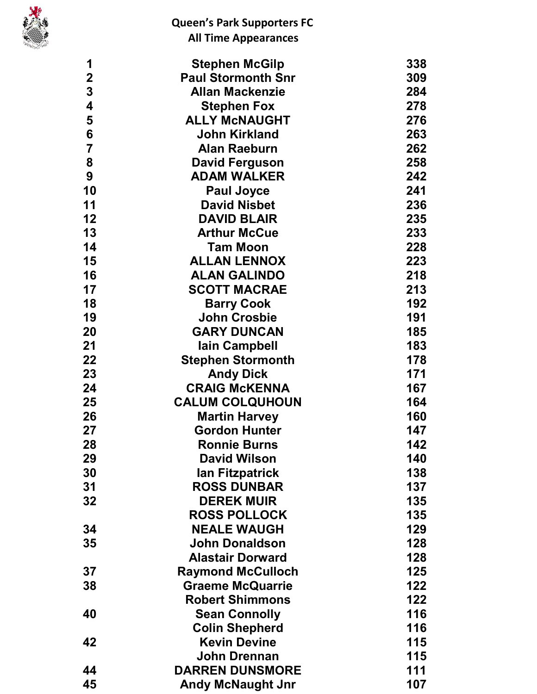

| 1               | <b>Stephen McGilp</b>     | 338 |
|-----------------|---------------------------|-----|
| $\mathbf 2$     | <b>Paul Stormonth Snr</b> | 309 |
| 3               | <b>Allan Mackenzie</b>    | 284 |
| 4               | <b>Stephen Fox</b>        | 278 |
| 5               | <b>ALLY MCNAUGHT</b>      | 276 |
| $6\phantom{1}6$ | <b>John Kirkland</b>      | 263 |
| $\overline{7}$  | <b>Alan Raeburn</b>       | 262 |
| 8               | <b>David Ferguson</b>     | 258 |
| 9               | <b>ADAM WALKER</b>        | 242 |
| 10              | <b>Paul Joyce</b>         | 241 |
| 11              | <b>David Nisbet</b>       | 236 |
| 12              | <b>DAVID BLAIR</b>        | 235 |
| 13              | <b>Arthur McCue</b>       | 233 |
| 14              | <b>Tam Moon</b>           | 228 |
| 15              | <b>ALLAN LENNOX</b>       | 223 |
| 16              | <b>ALAN GALINDO</b>       | 218 |
| 17              | <b>SCOTT MACRAE</b>       | 213 |
| 18              | <b>Barry Cook</b>         | 192 |
| 19              | <b>John Crosbie</b>       | 191 |
| 20              | <b>GARY DUNCAN</b>        | 185 |
| 21              | lain Campbell             | 183 |
| 22              | <b>Stephen Stormonth</b>  | 178 |
| 23              | <b>Andy Dick</b>          | 171 |
| 24              | <b>CRAIG McKENNA</b>      | 167 |
| 25              | <b>CALUM COLQUHOUN</b>    | 164 |
| 26              | <b>Martin Harvey</b>      | 160 |
| 27              | <b>Gordon Hunter</b>      | 147 |
| 28              | <b>Ronnie Burns</b>       | 142 |
| 29              | <b>David Wilson</b>       | 140 |
| 30              | lan Fitzpatrick           | 138 |
| 31              | <b>ROSS DUNBAR</b>        | 137 |
| 32              | <b>DEREK MUIR</b>         | 135 |
|                 | <b>ROSS POLLOCK</b>       | 135 |
| 34              | <b>NEALE WAUGH</b>        | 129 |
| 35              | <b>John Donaldson</b>     | 128 |
|                 | <b>Alastair Dorward</b>   | 128 |
| 37              | <b>Raymond McCulloch</b>  | 125 |
| 38              | <b>Graeme McQuarrie</b>   | 122 |
|                 | <b>Robert Shimmons</b>    | 122 |
| 40              | <b>Sean Connolly</b>      | 116 |
|                 | <b>Colin Shepherd</b>     | 116 |
| 42              | <b>Kevin Devine</b>       | 115 |
|                 | <b>John Drennan</b>       | 115 |
| 44              | <b>DARREN DUNSMORE</b>    | 111 |
| 45              | <b>Andy McNaught Jnr</b>  | 107 |
|                 |                           |     |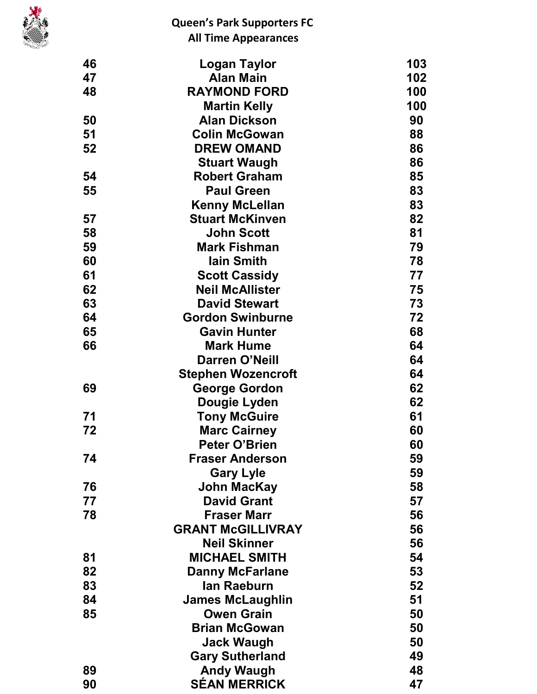

| 46 | Logan Taylor              | 103 |
|----|---------------------------|-----|
| 47 | <b>Alan Main</b>          | 102 |
| 48 | <b>RAYMOND FORD</b>       | 100 |
|    | <b>Martin Kelly</b>       | 100 |
| 50 | <b>Alan Dickson</b>       | 90  |
| 51 | <b>Colin McGowan</b>      | 88  |
| 52 | <b>DREW OMAND</b>         | 86  |
|    | <b>Stuart Waugh</b>       | 86  |
| 54 | <b>Robert Graham</b>      | 85  |
| 55 | <b>Paul Green</b>         | 83  |
|    | <b>Kenny McLellan</b>     | 83  |
| 57 | <b>Stuart McKinven</b>    | 82  |
| 58 | <b>John Scott</b>         | 81  |
| 59 | <b>Mark Fishman</b>       | 79  |
| 60 | <b>lain Smith</b>         | 78  |
| 61 | <b>Scott Cassidy</b>      | 77  |
| 62 | <b>Neil McAllister</b>    | 75  |
| 63 | <b>David Stewart</b>      | 73  |
| 64 | <b>Gordon Swinburne</b>   | 72  |
| 65 | <b>Gavin Hunter</b>       | 68  |
| 66 | <b>Mark Hume</b>          | 64  |
|    | <b>Darren O'Neill</b>     | 64  |
|    | <b>Stephen Wozencroft</b> | 64  |
| 69 | <b>George Gordon</b>      | 62  |
|    | Dougie Lyden              | 62  |
| 71 | <b>Tony McGuire</b>       | 61  |
| 72 | <b>Marc Cairney</b>       | 60  |
|    | <b>Peter O'Brien</b>      | 60  |
| 74 | <b>Fraser Anderson</b>    | 59  |
|    | <b>Gary Lyle</b>          | 59  |
| 76 | John MacKay               | 58  |
| 77 | <b>David Grant</b>        | 57  |
| 78 | <b>Fraser Marr</b>        | 56  |
|    | <b>GRANT McGILLIVRAY</b>  | 56  |
|    | <b>Neil Skinner</b>       | 56  |
| 81 | <b>MICHAEL SMITH</b>      | 54  |
| 82 | <b>Danny McFarlane</b>    | 53  |
| 83 | lan Raeburn               | 52  |
| 84 | <b>James McLaughlin</b>   | 51  |
| 85 | <b>Owen Grain</b>         | 50  |
|    | <b>Brian McGowan</b>      | 50  |
|    | <b>Jack Waugh</b>         | 50  |
|    | <b>Gary Sutherland</b>    | 49  |
| 89 | <b>Andy Waugh</b>         | 48  |
| 90 | <b>SÉAN MERRICK</b>       | 47  |
|    |                           |     |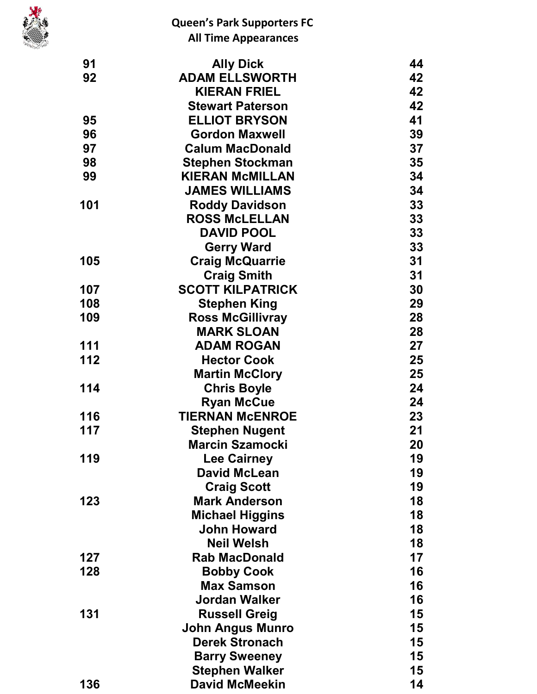

| 91  | <b>Ally Dick</b>        | 44 |
|-----|-------------------------|----|
| 92  | <b>ADAM ELLSWORTH</b>   | 42 |
|     | <b>KIERAN FRIEL</b>     | 42 |
|     | <b>Stewart Paterson</b> | 42 |
| 95  | <b>ELLIOT BRYSON</b>    | 41 |
| 96  | <b>Gordon Maxwell</b>   | 39 |
| 97  | <b>Calum MacDonald</b>  | 37 |
| 98  | <b>Stephen Stockman</b> | 35 |
| 99  | <b>KIERAN McMILLAN</b>  | 34 |
|     | <b>JAMES WILLIAMS</b>   | 34 |
| 101 | <b>Roddy Davidson</b>   | 33 |
|     | <b>ROSS McLELLAN</b>    | 33 |
|     | <b>DAVID POOL</b>       | 33 |
|     | <b>Gerry Ward</b>       | 33 |
| 105 | <b>Craig McQuarrie</b>  | 31 |
|     | <b>Craig Smith</b>      | 31 |
| 107 | <b>SCOTT KILPATRICK</b> | 30 |
| 108 | <b>Stephen King</b>     | 29 |
| 109 | <b>Ross McGillivray</b> | 28 |
|     | <b>MARK SLOAN</b>       | 28 |
| 111 | <b>ADAM ROGAN</b>       | 27 |
| 112 | <b>Hector Cook</b>      | 25 |
|     | <b>Martin McClory</b>   | 25 |
| 114 | <b>Chris Boyle</b>      | 24 |
|     | <b>Ryan McCue</b>       | 24 |
| 116 | <b>TIERNAN McENROE</b>  | 23 |
| 117 | <b>Stephen Nugent</b>   | 21 |
|     | <b>Marcin Szamocki</b>  | 20 |
| 119 | <b>Lee Cairney</b>      | 19 |
|     | <b>David McLean</b>     | 19 |
|     | <b>Craig Scott</b>      | 19 |
| 123 | <b>Mark Anderson</b>    | 18 |
|     | <b>Michael Higgins</b>  | 18 |
|     | <b>John Howard</b>      | 18 |
|     | <b>Neil Welsh</b>       | 18 |
| 127 | <b>Rab MacDonald</b>    | 17 |
| 128 | <b>Bobby Cook</b>       | 16 |
|     | <b>Max Samson</b>       | 16 |
|     | Jordan Walker           | 16 |
| 131 | <b>Russell Greig</b>    | 15 |
|     | <b>John Angus Munro</b> | 15 |
|     | <b>Derek Stronach</b>   | 15 |
|     | <b>Barry Sweeney</b>    | 15 |
|     | <b>Stephen Walker</b>   | 15 |
| 136 | <b>David McMeekin</b>   | 14 |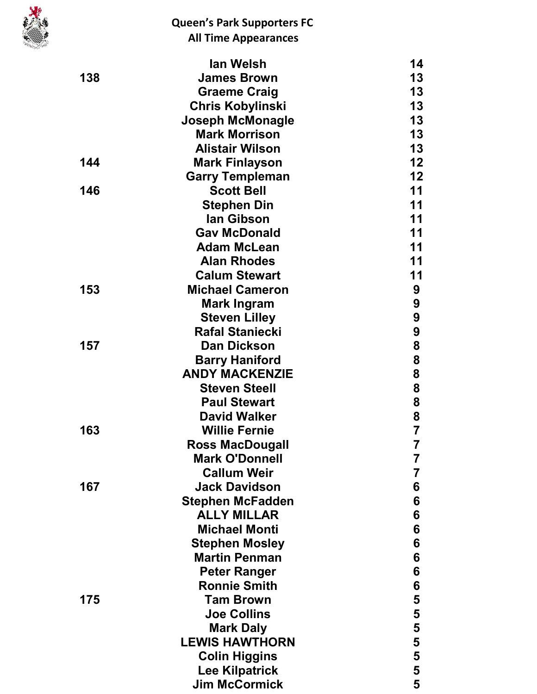

|     | lan Welsh               | 14                      |
|-----|-------------------------|-------------------------|
| 138 | <b>James Brown</b>      | 13                      |
|     | <b>Graeme Craig</b>     | 13                      |
|     | <b>Chris Kobylinski</b> | 13                      |
|     | <b>Joseph McMonagle</b> | 13                      |
|     | <b>Mark Morrison</b>    | 13                      |
|     | <b>Alistair Wilson</b>  | 13                      |
| 144 | <b>Mark Finlayson</b>   | 12                      |
|     | <b>Garry Templeman</b>  | 12                      |
| 146 | <b>Scott Bell</b>       | 11                      |
|     | <b>Stephen Din</b>      | 11                      |
|     | lan Gibson              | 11                      |
|     | <b>Gav McDonald</b>     | 11                      |
|     | <b>Adam McLean</b>      | 11                      |
|     | <b>Alan Rhodes</b>      | 11                      |
|     | <b>Calum Stewart</b>    | 11                      |
| 153 | <b>Michael Cameron</b>  | 9                       |
|     | <b>Mark Ingram</b>      | 9                       |
|     | <b>Steven Lilley</b>    | 9                       |
|     | <b>Rafal Staniecki</b>  | 9                       |
| 157 | <b>Dan Dickson</b>      | 8                       |
|     | <b>Barry Haniford</b>   | 8                       |
|     | <b>ANDY MACKENZIE</b>   | 8                       |
|     | <b>Steven Steell</b>    | 8                       |
|     | <b>Paul Stewart</b>     | 8                       |
|     | <b>David Walker</b>     | 8                       |
| 163 | <b>Willie Fernie</b>    | $\overline{\mathbf{7}}$ |
|     | <b>Ross MacDougall</b>  | 7                       |
|     | <b>Mark O'Donnell</b>   | 7                       |
|     | <b>Callum Weir</b>      | 7                       |
| 167 | <b>Jack Davidson</b>    | 6                       |
|     | <b>Stephen McFadden</b> | 6                       |
|     | <b>ALLY MILLAR</b>      | 6                       |
|     | <b>Michael Monti</b>    | 6                       |
|     | <b>Stephen Mosley</b>   | 6                       |
|     | <b>Martin Penman</b>    | 6                       |
|     | <b>Peter Ranger</b>     | 6                       |
|     | <b>Ronnie Smith</b>     | 6                       |
| 175 | <b>Tam Brown</b>        | 5                       |
|     | <b>Joe Collins</b>      | 5                       |
|     | <b>Mark Daly</b>        | 5                       |
|     | <b>LEWIS HAWTHORN</b>   | 5                       |
|     | <b>Colin Higgins</b>    | 5                       |
|     | <b>Lee Kilpatrick</b>   | 5                       |
|     | <b>Jim McCormick</b>    | 5                       |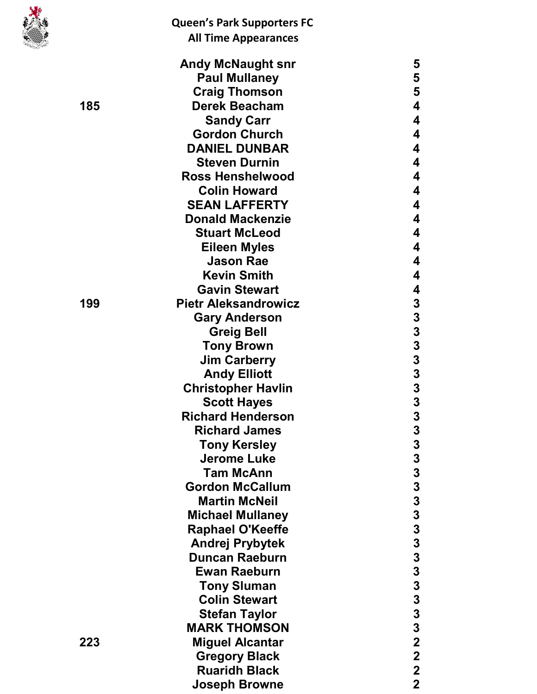|     | <b>Queen's Park Supporters FC</b> |                                            |
|-----|-----------------------------------|--------------------------------------------|
|     | <b>All Time Appearances</b>       |                                            |
|     | <b>Andy McNaught snr</b>          | 5                                          |
|     | <b>Paul Mullaney</b>              | 5                                          |
|     | <b>Craig Thomson</b>              | 5                                          |
| 185 | <b>Derek Beacham</b>              | 4                                          |
|     | <b>Sandy Carr</b>                 | 4                                          |
|     | <b>Gordon Church</b>              | 4                                          |
|     | <b>DANIEL DUNBAR</b>              | 4                                          |
|     | <b>Steven Durnin</b>              | 4                                          |
|     | <b>Ross Henshelwood</b>           | 4                                          |
|     | <b>Colin Howard</b>               | 4                                          |
|     | <b>SEAN LAFFERTY</b>              | 4                                          |
|     | <b>Donald Mackenzie</b>           | 4                                          |
|     | <b>Stuart McLeod</b>              | 4                                          |
|     | <b>Eileen Myles</b>               | 4                                          |
|     | <b>Jason Rae</b>                  | 4                                          |
|     | <b>Kevin Smith</b>                | 4                                          |
|     | <b>Gavin Stewart</b>              | 4                                          |
| 199 | <b>Pietr Aleksandrowicz</b>       | 3                                          |
|     | <b>Gary Anderson</b>              | 3                                          |
|     | <b>Greig Bell</b>                 | $\begin{array}{c} 3 \\ 3 \\ 3 \end{array}$ |
|     | <b>Tony Brown</b>                 |                                            |
|     | <b>Jim Carberry</b>               |                                            |
|     | <b>Andy Elliott</b>               | $\frac{3}{3}$                              |
|     | <b>Christopher Havlin</b>         |                                            |
|     | <b>Scott Hayes</b>                | 3                                          |
|     | <b>Richard Henderson</b>          | 3                                          |
|     | <b>Richard James</b>              | $\frac{3}{3}$                              |
|     | <b>Tony Kersley</b>               |                                            |
|     | <b>Jerome Luke</b>                |                                            |
|     | <b>Tam McAnn</b>                  | $\begin{array}{c} 3 \\ 3 \\ 3 \end{array}$ |
|     | <b>Gordon McCallum</b>            |                                            |
|     | <b>Martin McNeil</b>              |                                            |
|     | <b>Michael Mullaney</b>           |                                            |
|     | <b>Raphael O'Keeffe</b>           |                                            |
|     | <b>Andrej Prybytek</b>            |                                            |
|     | <b>Duncan Raeburn</b>             |                                            |
|     | <b>Ewan Raeburn</b>               |                                            |
|     | <b>Tony Sluman</b>                |                                            |
|     | <b>Colin Stewart</b>              | $3333333$<br>$3333$                        |
|     | <b>Stefan Taylor</b>              |                                            |
|     | <b>MARK THOMSON</b>               | $\overline{\mathbf{3}}$                    |
| 223 | <b>Miguel Alcantar</b>            | $\overline{\mathbf{2}}$                    |
|     | <b>Gregory Black</b>              | $\boldsymbol{2}$                           |
|     | <b>Ruaridh Black</b>              | $\mathbf 2$                                |
|     | <b>Joseph Browne</b>              | $\overline{2}$                             |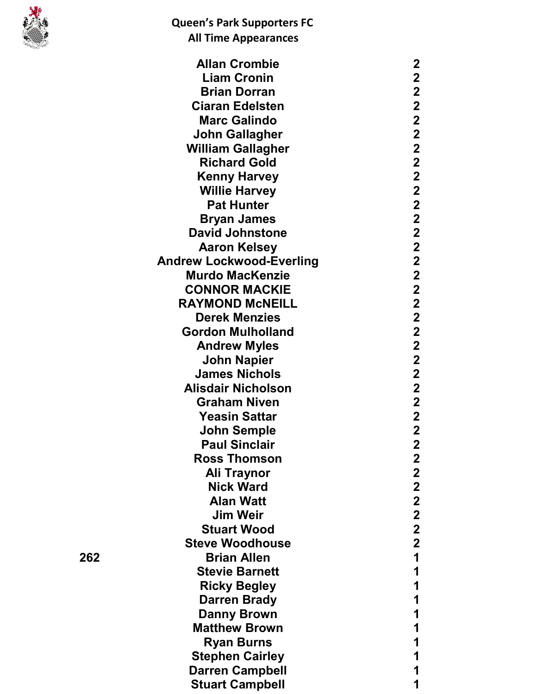

|     | <b>Allan Crombie</b>            | 2                       |
|-----|---------------------------------|-------------------------|
|     | <b>Liam Cronin</b>              | $\mathbf 2$             |
|     | <b>Brian Dorran</b>             | $\mathbf 2$             |
|     | <b>Ciaran Edelsten</b>          | $\mathbf 2$             |
|     | <b>Marc Galindo</b>             | $\overline{\mathbf{2}}$ |
|     | <b>John Gallagher</b>           | $\overline{\mathbf{2}}$ |
|     | <b>William Gallagher</b>        | $\mathbf 2$             |
|     | <b>Richard Gold</b>             | $\overline{\mathbf{2}}$ |
|     | <b>Kenny Harvey</b>             | $\overline{\mathbf{2}}$ |
|     | <b>Willie Harvey</b>            | $\mathbf 2$             |
|     | <b>Pat Hunter</b>               | $\overline{\mathbf{2}}$ |
|     | <b>Bryan James</b>              | $\mathbf{2}$            |
|     | <b>David Johnstone</b>          | $\mathbf 2$             |
|     | <b>Aaron Kelsey</b>             | $\overline{\mathbf{2}}$ |
|     | <b>Andrew Lockwood-Everling</b> | $\mathbf 2$             |
|     | <b>Murdo MacKenzie</b>          | $\mathbf 2$             |
|     | <b>CONNOR MACKIE</b>            | $\overline{\mathbf{2}}$ |
|     | <b>RAYMOND MCNEILL</b>          | $\overline{\mathbf{2}}$ |
|     | <b>Derek Menzies</b>            |                         |
|     |                                 | $\mathbf 2$             |
|     | <b>Gordon Mulholland</b>        | $\mathbf 2$             |
|     | <b>Andrew Myles</b>             | $\overline{\mathbf{2}}$ |
|     | John Napier                     | $\overline{\mathbf{2}}$ |
|     | <b>James Nichols</b>            | $\mathbf 2$             |
|     | <b>Alisdair Nicholson</b>       | $\mathbf{2}$            |
|     | <b>Graham Niven</b>             | $\overline{\mathbf{2}}$ |
|     | <b>Yeasin Sattar</b>            | $\mathbf 2$             |
|     | <b>John Semple</b>              | $\overline{\mathbf{2}}$ |
|     | <b>Paul Sinclair</b>            | $\mathbf 2$             |
|     | <b>Ross Thomson</b>             | $\mathbf 2$             |
|     | Ali Traynor                     | $\overline{\mathbf{2}}$ |
|     | <b>Nick Ward</b>                | $\mathbf 2$             |
|     | <b>Alan Watt</b>                | $\mathbf 2$             |
|     | <b>Jim Weir</b>                 | $\mathbf 2$             |
|     | <b>Stuart Wood</b>              | $\mathbf 2$             |
|     | <b>Steve Woodhouse</b>          | $\mathbf 2$             |
| 262 | <b>Brian Allen</b>              | 1                       |
|     | <b>Stevie Barnett</b>           | 1                       |
|     | <b>Ricky Begley</b>             | 1                       |
|     | <b>Darren Brady</b>             | 1                       |
|     | <b>Danny Brown</b>              | 1                       |
|     | <b>Matthew Brown</b>            | 1                       |
|     | <b>Ryan Burns</b>               | 1                       |
|     | <b>Stephen Cairley</b>          | 1                       |
|     | <b>Darren Campbell</b>          | 1                       |
|     | <b>Stuart Campbell</b>          | 1                       |
|     |                                 |                         |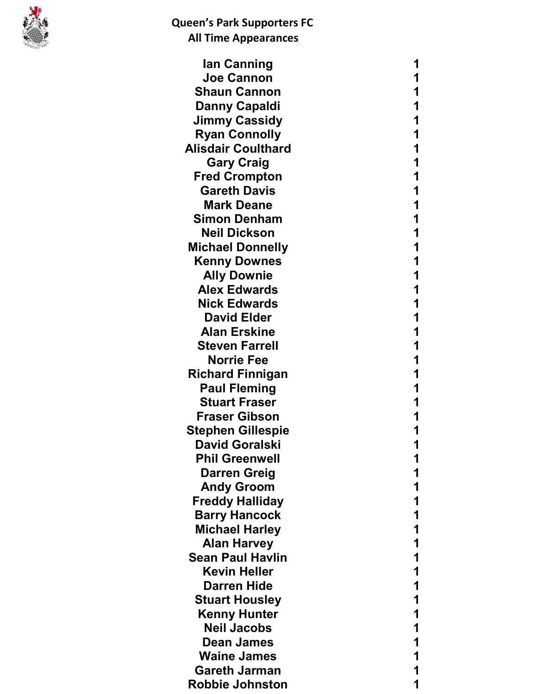

| lan Canning               | 1 |
|---------------------------|---|
| <b>Joe Cannon</b>         | 1 |
| <b>Shaun Cannon</b>       |   |
| <b>Danny Capaldi</b>      |   |
| <b>Jimmy Cassidy</b>      | 1 |
| <b>Ryan Connolly</b>      |   |
| <b>Alisdair Coulthard</b> |   |
| <b>Gary Craig</b>         | 1 |
| <b>Fred Crompton</b>      |   |
| <b>Gareth Davis</b>       |   |
| <b>Mark Deane</b>         | 1 |
| <b>Simon Denham</b>       |   |
| <b>Neil Dickson</b>       |   |
| <b>Michael Donnelly</b>   | 1 |
| <b>Kenny Downes</b>       |   |
| <b>Ally Downie</b>        |   |
| <b>Alex Edwards</b>       | 1 |
| <b>Nick Edwards</b>       |   |
| <b>David Elder</b>        |   |
| <b>Alan Erskine</b>       | 1 |
| <b>Steven Farrell</b>     |   |
| <b>Norrie Fee</b>         |   |
| <b>Richard Finnigan</b>   |   |
| <b>Paul Fleming</b>       | 1 |
| <b>Stuart Fraser</b>      |   |
| <b>Fraser Gibson</b>      |   |
| <b>Stephen Gillespie</b>  |   |
| <b>David Goralski</b>     | 1 |
| <b>Phil Greenwell</b>     |   |
| <b>Darren Greig</b>       |   |
| <b>Andy Groom</b>         |   |
| <b>Freddy Halliday</b>    |   |
| <b>Barry Hancock</b>      |   |
| <b>Michael Harley</b>     |   |
| <b>Alan Harvey</b>        |   |
| <b>Sean Paul Havlin</b>   |   |
| <b>Kevin Heller</b>       |   |
| <b>Darren Hide</b>        |   |
| <b>Stuart Housley</b>     |   |
| <b>Kenny Hunter</b>       |   |
| <b>Neil Jacobs</b>        |   |
| <b>Dean James</b>         |   |
| <b>Waine James</b>        |   |
| <b>Gareth Jarman</b>      |   |
| <b>Robbie Johnston</b>    |   |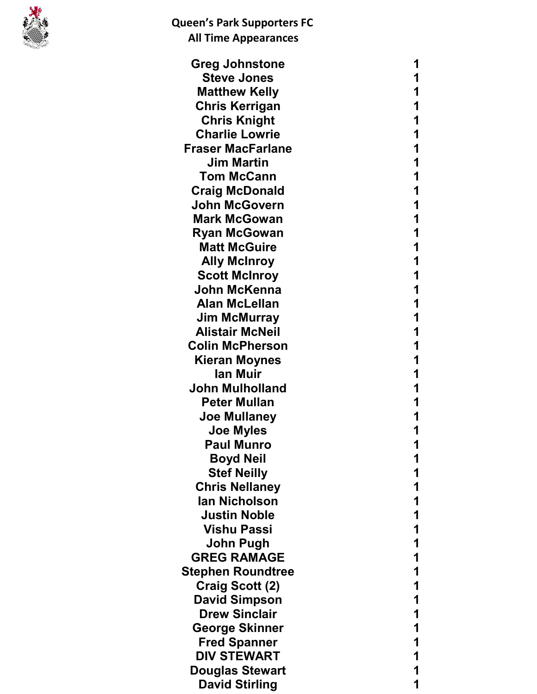

| <b>Greg Johnstone</b>    | 1 |
|--------------------------|---|
| <b>Steve Jones</b>       | 1 |
| <b>Matthew Kelly</b>     | 1 |
| <b>Chris Kerrigan</b>    | 1 |
| <b>Chris Knight</b>      | 1 |
| <b>Charlie Lowrie</b>    | 1 |
| <b>Fraser MacFarlane</b> | 1 |
| <b>Jim Martin</b>        | 1 |
| <b>Tom McCann</b>        | 1 |
| <b>Craig McDonald</b>    | 1 |
| <b>John McGovern</b>     | 1 |
| <b>Mark McGowan</b>      | 1 |
| <b>Ryan McGowan</b>      | 1 |
| <b>Matt McGuire</b>      | 1 |
| <b>Ally McInroy</b>      | 1 |
| <b>Scott McInroy</b>     | 1 |
| John McKenna             | 1 |
| <b>Alan McLellan</b>     | 1 |
| <b>Jim McMurray</b>      | 1 |
| <b>Alistair McNeil</b>   | 1 |
| <b>Colin McPherson</b>   | 1 |
| <b>Kieran Moynes</b>     | 1 |
| lan Muir                 | 1 |
| <b>John Mulholland</b>   | 1 |
| <b>Peter Mullan</b>      | 1 |
| <b>Joe Mullaney</b>      |   |
| <b>Joe Myles</b>         | 1 |
| Paul Munro               | 1 |
| <b>Boyd Neil</b>         | 1 |
| <b>Stef Neilly</b>       |   |
| <b>Chris Nellaney</b>    | 1 |
| <b>lan Nicholson</b>     | 1 |
| <b>Justin Noble</b>      |   |
| <b>Vishu Passi</b>       | 1 |
| John Pugh                | 1 |
| <b>GREG RAMAGE</b>       |   |
| <b>Stephen Roundtree</b> | 1 |
| Craig Scott (2)          | 1 |
| <b>David Simpson</b>     |   |
| <b>Drew Sinclair</b>     | 1 |
| <b>George Skinner</b>    | 1 |
| <b>Fred Spanner</b>      |   |
| <b>DIV STEWART</b>       | 1 |
| <b>Douglas Stewart</b>   | 1 |
| <b>David Stirling</b>    | 1 |
|                          |   |